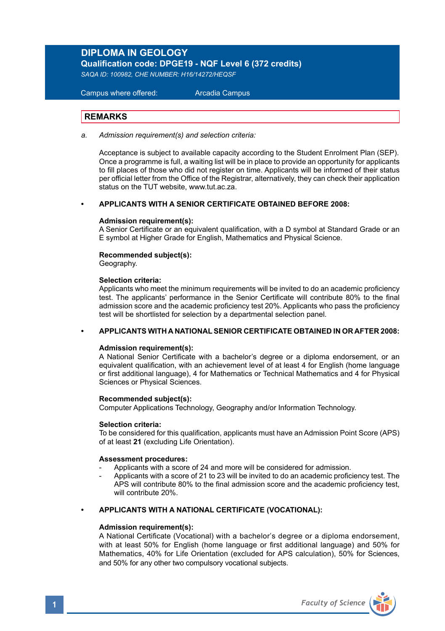# **DIPLOMA IN GEOLOGY**

**Qualification code: DPGE19 - NQF Level 6 (372 credits)** 

*SAQA ID: 100982, CHE NUMBER: H16/14272/HEQSF*

 Campus where offered: Arcadia Campus

# **REMARKS**

*a. Admission requirement(s) and selection criteria:* 

 Acceptance is subject to available capacity according to the Student Enrolment Plan (SEP). Once a programme is full, a waiting list will be in place to provide an opportunity for applicants to fill places of those who did not register on time. Applicants will be informed of their status per official letter from the Office of the Registrar, alternatively, they can check their application status on the TUT website, www.tut.ac.za.

#### **• APPLICANTS WITH A SENIOR CERTIFICATE OBTAINED BEFORE 2008:**

#### **Admission requirement(s):**

A Senior Certificate or an equivalent qualification, with a D symbol at Standard Grade or an E symbol at Higher Grade for English, Mathematics and Physical Science.

# **Recommended subject(s):**

Geography.

#### **Selection criteria:**

Applicants who meet the minimum requirements will be invited to do an academic proficiency test. The applicants' performance in the Senior Certificate will contribute 80% to the final admission score and the academic proficiency test 20%. Applicants who pass the proficiency test will be shortlisted for selection by a departmental selection panel.

#### **• APPLICANTS WITH A NATIONAL SENIOR CERTIFICATE OBTAINED IN OR AFTER 2008:**

#### **Admission requirement(s):**

A National Senior Certificate with a bachelor's degree or a diploma endorsement, or an equivalent qualification, with an achievement level of at least 4 for English (home language or first additional language), 4 for Mathematics or Technical Mathematics and 4 for Physical Sciences or Physical Sciences.

#### **Recommended subject(s):**

Computer Applications Technology, Geography and/or Information Technology.

#### **Selection criteria:**

To be considered for this qualification, applicants must have an Admission Point Score (APS) of at least **21** (excluding Life Orientation).

### **Assessment procedures:**

- Applicants with a score of 24 and more will be considered for admission.
- Applicants with a score of 21 to 23 will be invited to do an academic proficiency test. The APS will contribute 80% to the final admission score and the academic proficiency test, will contribute 20%.

### **• APPLICANTS WITH A NATIONAL CERTIFICATE (VOCATIONAL):**

### **Admission requirement(s):**

A National Certificate (Vocational) with a bachelor's degree or a diploma endorsement, with at least 50% for English (home language or first additional language) and 50% for Mathematics, 40% for Life Orientation (excluded for APS calculation), 50% for Sciences, and 50% for any other two compulsory vocational subjects.

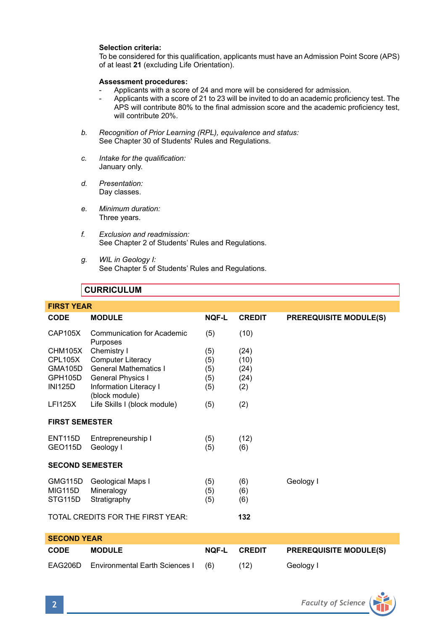# **Selection criteria:**

To be considered for this qualification, applicants must have an Admission Point Score (APS) of at least **21** (excluding Life Orientation).

#### **Assessment procedures:**

- Applicants with a score of 24 and more will be considered for admission.
- Applicants with a score of 21 to 23 will be invited to do an academic proficiency test. The APS will contribute 80% to the final admission score and the academic proficiency test, will contribute 20%.
- *b. Recognition of Prior Learning (RPL), equivalence and status:* See Chapter 30 of Students' Rules and Regulations.
- *c. Intake for the qualification:* January only.
- *d. Presentation:* Day classes.
- *e. Minimum duration:* Three years.
- *f. Exclusion and readmission:* See Chapter 2 of Students' Rules and Regulations.
- *g. WIL in Geology I:* See Chapter 5 of Students' Rules and Regulations.

# **CURRICULUM**

| <b>FIRST YEAR</b>      |                                                 |              |               |                               |  |  |  |
|------------------------|-------------------------------------------------|--------------|---------------|-------------------------------|--|--|--|
| CODE                   | <b>MODULE</b>                                   | <b>NOF-L</b> | <b>CREDIT</b> | <b>PREREQUISITE MODULE(S)</b> |  |  |  |
| <b>CAP105X</b>         | Communication for Academic<br>Purposes          | (5)          | (10)          |                               |  |  |  |
| CHM105X                | Chemistry I                                     | (5)          | (24)          |                               |  |  |  |
| CPL105X                | <b>Computer Literacy</b>                        | (5)          | (10)          |                               |  |  |  |
| <b>GMA105D</b>         | <b>General Mathematics I</b>                    | (5)          | (24)          |                               |  |  |  |
| GPH105D                | General Physics I                               | (5)          | (24)          |                               |  |  |  |
| <b>INI125D</b>         | <b>Information Literacy I</b><br>(block module) | (5)          | (2)           |                               |  |  |  |
| <b>LFI125X</b>         | Life Skills I (block module)                    | (5)          | (2)           |                               |  |  |  |
| <b>FIRST SEMESTER</b>  |                                                 |              |               |                               |  |  |  |
| <b>ENT115D</b>         | Entrepreneurship I                              | (5)          | (12)          |                               |  |  |  |
| GEO <sub>115</sub> D   | Geology I                                       | (5)          | (6)           |                               |  |  |  |
|                        |                                                 |              |               |                               |  |  |  |
| <b>SECOND SEMESTER</b> |                                                 |              |               |                               |  |  |  |
| GMG115D                | Geological Maps I                               | (5)          | (6)           | Geology I                     |  |  |  |
| MIG115D                | Mineralogy                                      | (5)          | (6)           |                               |  |  |  |
| STG115D                | Stratigraphy                                    | (5)          | (6)           |                               |  |  |  |
|                        |                                                 |              |               |                               |  |  |  |
|                        | TOTAL CREDITS FOR THE FIRST YEAR:               |              | 132           |                               |  |  |  |
|                        |                                                 |              |               |                               |  |  |  |
| <b>SECOND YEAR</b>     |                                                 |              |               |                               |  |  |  |
| <b>CODE</b>            | <b>MODULE</b>                                   | <b>NOF-L</b> | <b>CREDIT</b> | <b>PREREQUISITE MODULE(S)</b> |  |  |  |
| EAG206D                | <b>Environmental Earth Sciences I</b>           | (6)          | (12)          | Geology I                     |  |  |  |

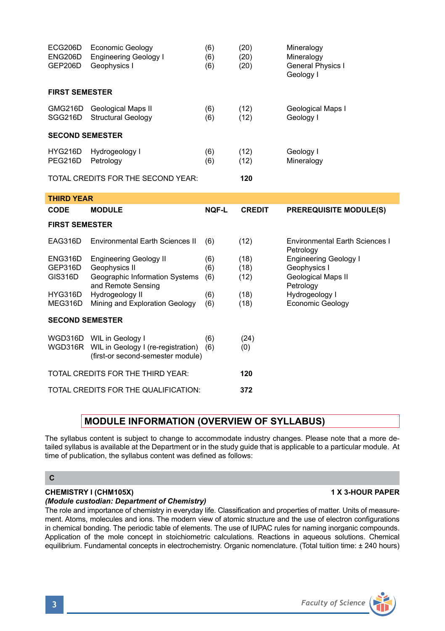| ECG206D<br>ENG206D<br>GEP206D        | <b>Economic Geology</b><br><b>Engineering Geology I</b><br>Geophysics I                                     | (6)<br>(6)<br>(6) | (20)<br>(20)<br>(20) | Mineralogy<br>Mineralogy<br>General Physics I<br>Geology I |  |  |  |  |
|--------------------------------------|-------------------------------------------------------------------------------------------------------------|-------------------|----------------------|------------------------------------------------------------|--|--|--|--|
| <b>FIRST SEMESTER</b>                |                                                                                                             |                   |                      |                                                            |  |  |  |  |
| SGG216D                              | GMG216D Geological Maps II<br><b>Structural Geology</b>                                                     | (6)<br>(6)        | (12)<br>(12)         | Geological Maps I<br>Geology I                             |  |  |  |  |
| <b>SECOND SEMESTER</b>               |                                                                                                             |                   |                      |                                                            |  |  |  |  |
| <b>HYG216D</b><br>PEG216D            | Hydrogeology I<br>Petrology                                                                                 | (6)<br>(6)        | (12)<br>(12)         | Geology I<br>Mineralogy                                    |  |  |  |  |
|                                      | TOTAL CREDITS FOR THE SECOND YEAR:                                                                          |                   | 120                  |                                                            |  |  |  |  |
| <b>THIRD YEAR</b>                    |                                                                                                             |                   |                      |                                                            |  |  |  |  |
| CODE                                 | <b>MODULE</b>                                                                                               | <b>NOF-L</b>      | <b>CREDIT</b>        | <b>PREREQUISITE MODULE(S)</b>                              |  |  |  |  |
| <b>FIRST SEMESTER</b>                |                                                                                                             |                   |                      |                                                            |  |  |  |  |
| EAG316D                              | <b>Environmental Earth Sciences II</b>                                                                      | (6)               | (12)                 | <b>Environmental Earth Sciences I</b><br>Petrology         |  |  |  |  |
| ENG316D                              | <b>Engineering Geology II</b>                                                                               | (6)               | (18)                 | <b>Engineering Geology I</b>                               |  |  |  |  |
| GEP316D<br>GIS316D                   | Geophysics II<br>Geographic Information Systems<br>and Remote Sensing                                       | (6)<br>(6)        | (18)<br>(12)         | Geophysics I<br>Geological Maps II<br>Petrology            |  |  |  |  |
| HYG316D<br>MEG316D                   | Hydrogeology II<br>Mining and Exploration Geology                                                           | (6)<br>(6)        | (18)<br>(18)         | Hydrogeology I<br>Economic Geology                         |  |  |  |  |
| <b>SECOND SEMESTER</b>               |                                                                                                             |                   |                      |                                                            |  |  |  |  |
|                                      | WGD316D WIL in Geology I<br>WGD316R WIL in Geology I (re-registration)<br>(first-or second-semester module) | (6)<br>(6)        | (24)<br>(0)          |                                                            |  |  |  |  |
|                                      | TOTAL CREDITS FOR THE THIRD YEAR:                                                                           | 120               |                      |                                                            |  |  |  |  |
| TOTAL CREDITS FOR THE QUALIFICATION: |                                                                                                             |                   | 372                  |                                                            |  |  |  |  |

# **MODULE INFORMATION (OVERVIEW OF SYLLABUS)**

The syllabus content is subject to change to accommodate industry changes. Please note that a more detailed syllabus is available at the Department or in the study guide that is applicable to a particular module. At time of publication, the syllabus content was defined as follows:

# **C**

# **CHEMISTRY I (CHM105X) 1 X 3-HOUR PAPER**

# *(Module custodian: Department of Chemistry)*

The role and importance of chemistry in everyday life. Classification and properties of matter. Units of measurement. Atoms, molecules and ions. The modern view of atomic structure and the use of electron configurations in chemical bonding. The periodic table of elements. The use of IUPAC rules for naming inorganic compounds. Application of the mole concept in stoichiometric calculations. Reactions in aqueous solutions. Chemical equilibrium. Fundamental concepts in electrochemistry. Organic nomenclature. (Total tuition time: ± 240 hours)

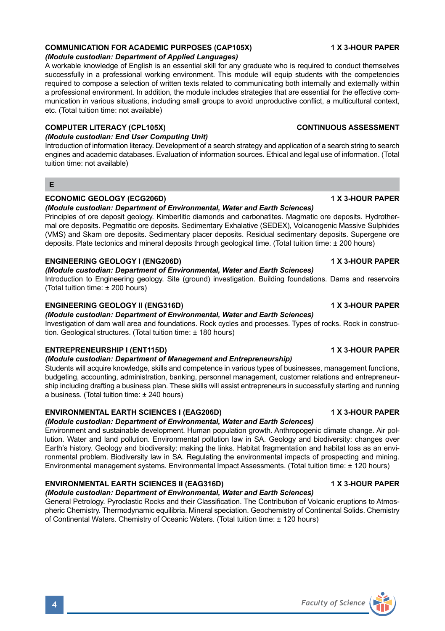# **COMMUNICATION FOR ACADEMIC PURPOSES (CAP105X) 1 X 3-HOUR PAPER**

# *(Module custodian: Department of Applied Languages)*

A workable knowledge of English is an essential skill for any graduate who is required to conduct themselves successfully in a professional working environment. This module will equip students with the competencies required to compose a selection of written texts related to communicating both internally and externally within a professional environment. In addition, the module includes strategies that are essential for the effective communication in various situations, including small groups to avoid unproductive conflict, a multicultural context, etc. (Total tuition time: not available)

#### **COMPUTER LITERACY (CPL105X) CONTINUOUS ASSESSMENT**

### *(Module custodian: End User Computing Unit)*

Introduction of information literacy. Development of a search strategy and application of a search string to search engines and academic databases. Evaluation of information sources. Ethical and legal use of information. (Total tuition time: not available)

#### **E**

### **ECONOMIC GEOLOGY (ECG206D) 1 X 3-HOUR PAPER**

### *(Module custodian: Department of Environmental, Water and Earth Sciences)*

Principles of ore deposit geology. Kimberlitic diamonds and carbonatites. Magmatic ore deposits. Hydrothermal ore deposits. Pegmatitic ore deposits. Sedimentary Exhalative (SEDEX), Volcanogenic Massive Sulphides (VMS) and Skarn ore deposits. Sedimentary placer deposits. Residual sedimentary deposits. Supergene ore deposits. Plate tectonics and mineral deposits through geological time. (Total tuition time: ± 200 hours)

#### **ENGINEERING GEOLOGY I (ENG206D) 1 X 3-HOUR PAPER**

### *(Module custodian: Department of Environmental, Water and Earth Sciences)*

Introduction to Engineering geology. Site (ground) investigation. Building foundations. Dams and reservoirs (Total tuition time: ± 200 hours)

#### **ENGINEERING GEOLOGY II (ENG316D) 1 X 3-HOUR PAPER**

# *(Module custodian: Department of Environmental, Water and Earth Sciences)*

Investigation of dam wall area and foundations. Rock cycles and processes. Types of rocks. Rock in construction. Geological structures. (Total tuition time: ± 180 hours)

# **ENTREPRENEURSHIP I (ENT115D) 1 X 3-HOUR PAPER**

#### *(Module custodian: Department of Management and Entrepreneurship)*

Students will acquire knowledge, skills and competence in various types of businesses, management functions, budgeting, accounting, administration, banking, personnel management, customer relations and entrepreneurship including drafting a business plan. These skills will assist entrepreneurs in successfully starting and running a business. (Total tuition time: ± 240 hours)

### **ENVIRONMENTAL EARTH SCIENCES I (EAG206D) 1 X 3-HOUR PAPER**

# *(Module custodian: Department of Environmental, Water and Earth Sciences)*

Environment and sustainable development. Human population growth. Anthropogenic climate change. Air pollution. Water and land pollution. Environmental pollution law in SA. Geology and biodiversity: changes over Earth's history. Geology and biodiversity: making the links. Habitat fragmentation and habitat loss as an environmental problem. Biodiversity law in SA. Regulating the environmental impacts of prospecting and mining. Environmental management systems. Environmental Impact Assessments. (Total tuition time: ± 120 hours)

### **ENVIRONMENTAL EARTH SCIENCES II (EAG316D) 1 X 3-HOUR PAPER**

# *(Module custodian: Department of Environmental, Water and Earth Sciences)*

General Petrology. Pyroclastic Rocks and their Classification. The Contribution of Volcanic eruptions to Atmospheric Chemistry. Thermodynamic equilibria. Mineral speciation. Geochemistry of Continental Solids. Chemistry of Continental Waters. Chemistry of Oceanic Waters. (Total tuition time: ± 120 hours)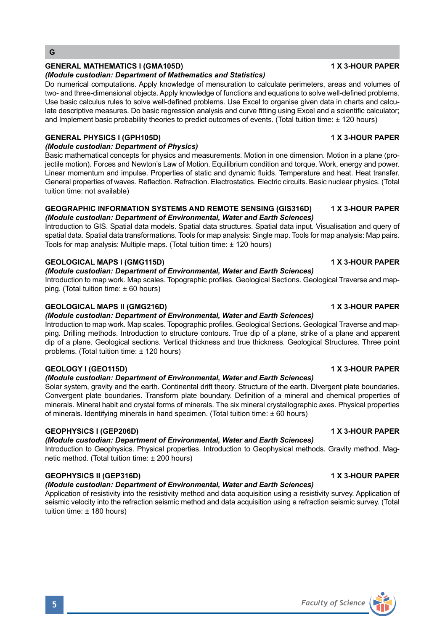# **GENERAL MATHEMATICS I (GMA105D) 1 8 1 1 2 3 3 4 4 5 4 5 4 5 4 6 7 7 7 7 8 4 6 7 7 7 7 8 7 7 8 7 7 7 7 8 7 7 8 7 7 8 7 7 8 7 7 8 7 7 8 7 7 8 7 7 8 7 7 8 7 7 8 7 7 8 7 7 8 7 7 8 7 7 8 7 7 8 7 7 8 7 7 8 7 7 8 7 7 8 7 7 8 7 7**

#### *(Module custodian: Department of Mathematics and Statistics)*

Do numerical computations. Apply knowledge of mensuration to calculate perimeters, areas and volumes of two- and three-dimensional objects. Apply knowledge of functions and equations to solve well-defined problems. Use basic calculus rules to solve well-defined problems. Use Excel to organise given data in charts and calculate descriptive measures. Do basic regression analysis and curve fitting using Excel and a scientific calculator; and Implement basic probability theories to predict outcomes of events. (Total tuition time: ± 120 hours)

# **GENERAL PHYSICS I (GPH105D) 1 X 3-HOUR PAPER**

## *(Module custodian: Department of Physics)*

Basic mathematical concepts for physics and measurements. Motion in one dimension. Motion in a plane (projectile motion). Forces and Newton's Law of Motion. Equilibrium condition and torque. Work, energy and power. Linear momentum and impulse. Properties of static and dynamic fluids. Temperature and heat. Heat transfer. General properties of waves. Reflection. Refraction. Electrostatics. Electric circuits. Basic nuclear physics. (Total tuition time: not available)

#### **GEOGRAPHIC INFORMATION SYSTEMS AND REMOTE SENSING (GIS316D) 1 X 3-HOUR PAPER** *(Module custodian: Department of Environmental, Water and Earth Sciences)*

Introduction to GIS. Spatial data models. Spatial data structures. Spatial data input. Visualisation and query of spatial data. Spatial data transformations. Tools for map analysis: Single map. Tools for map analysis: Map pairs. Tools for map analysis: Multiple maps. (Total tuition time: ± 120 hours)

# **GEOLOGICAL MAPS I (GMG115D) 1 X 3-HOUR PAPER**

# *(Module custodian: Department of Environmental, Water and Earth Sciences)*

Introduction to map work. Map scales. Topographic profiles. Geological Sections. Geological Traverse and mapping. (Total tuition time: ± 60 hours)

# **GEOLOGICAL MAPS II (GMG216D) 1 X 3-HOUR PAPER**

### *(Module custodian: Department of Environmental, Water and Earth Sciences)*

Introduction to map work. Map scales. Topographic profiles. Geological Sections. Geological Traverse and mapping. Drilling methods. Introduction to structure contours. True dip of a plane, strike of a plane and apparent dip of a plane. Geological sections. Vertical thickness and true thickness. Geological Structures. Three point problems. (Total tuition time: ± 120 hours)

# **GEOLOGY I (GEO115D)** 1 X 3-HOUR PAPER

### *(Module custodian: Department of Environmental, Water and Earth Sciences)*

Solar system, gravity and the earth. Continental drift theory. Structure of the earth. Divergent plate boundaries. Convergent plate boundaries. Transform plate boundary. Definition of a mineral and chemical properties of minerals. Mineral habit and crystal forms of minerals. The six mineral crystallographic axes. Physical properties of minerals. Identifying minerals in hand specimen. (Total tuition time: ± 60 hours)

### **GEOPHYSICS I (GEP206D) 1 X 3-HOUR PAPER**

# *(Module custodian: Department of Environmental, Water and Earth Sciences)*

Introduction to Geophysics. Physical properties. Introduction to Geophysical methods. Gravity method. Magnetic method. (Total tuition time: ± 200 hours)

# **GEOPHYSICS II (GEP316D)** 1 X 3-HOUR PAPER

# *(Module custodian: Department of Environmental, Water and Earth Sciences)*

Application of resistivity into the resistivity method and data acquisition using a resistivity survey. Application of seismic velocity into the refraction seismic method and data acquisition using a refraction seismic survey. (Total tuition time: ± 180 hours)

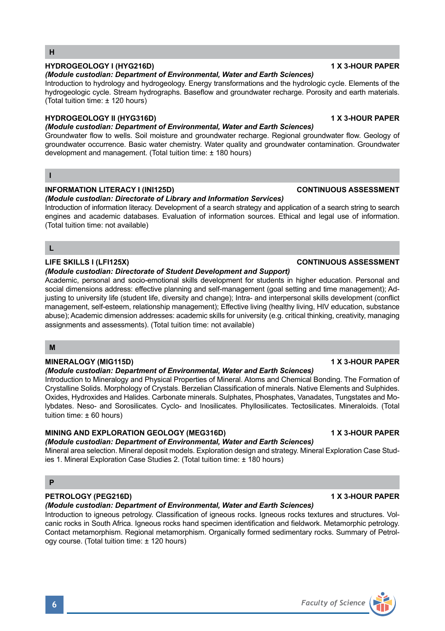## **HYDROGEOLOGY I (HYG216D) 1 X 3-HOUR PAPER**

#### *(Module custodian: Department of Environmental, Water and Earth Sciences)*

Introduction to hydrology and hydrogeology. Energy transformations and the hydrologic cycle. Elements of the hydrogeologic cycle. Stream hydrographs. Baseflow and groundwater recharge. Porosity and earth materials. (Total tuition time: ± 120 hours)

### **HYDROGEOLOGY II (HYG316D) 1 X 3-HOUR PAPER**

# *(Module custodian: Department of Environmental, Water and Earth Sciences)*

Groundwater flow to wells. Soil moisture and groundwater recharge. Regional groundwater flow. Geology of groundwater occurrence. Basic water chemistry. Water quality and groundwater contamination. Groundwater development and management. (Total tuition time: ± 180 hours)

# **I**

### **INFORMATION LITERACY I (INI125D) CONTINUOUS ASSESSMENT**

## *(Module custodian: Directorate of Library and Information Services)*

Introduction of information literacy. Development of a search strategy and application of a search string to search engines and academic databases. Evaluation of information sources. Ethical and legal use of information. (Total tuition time: not available)

# **L**

# **LIFE SKILLS I (LFI125X) CONTINUOUS ASSESSMENT**

#### *(Module custodian: Directorate of Student Development and Support)*

Academic, personal and socio-emotional skills development for students in higher education. Personal and social dimensions address: effective planning and self-management (goal setting and time management); Adjusting to university life (student life, diversity and change); Intra- and interpersonal skills development (conflict management, self-esteem, relationship management); Effective living (healthy living, HIV education, substance abuse); Academic dimension addresses: academic skills for university (e.g. critical thinking, creativity, managing assignments and assessments). (Total tuition time: not available)

## **M**

# **MINERALOGY (MIG115D) 1 X 3-HOUR PAPER**

### *(Module custodian: Department of Environmental, Water and Earth Sciences)*

Introduction to Mineralogy and Physical Properties of Mineral. Atoms and Chemical Bonding. The Formation of Crystalline Solids. Morphology of Crystals. Berzelian Classification of minerals. Native Elements and Sulphides. Oxides, Hydroxides and Halides. Carbonate minerals. Sulphates, Phosphates, Vanadates, Tungstates and Molybdates. Neso- and Sorosilicates. Cyclo- and Inosilicates. Phyllosilicates. Tectosilicates. Mineraloids. (Total tuition time: ± 60 hours)

### **MINING AND EXPLORATION GEOLOGY (MEG316D) 1 X 3-HOUR PAPER**

### *(Module custodian: Department of Environmental, Water and Earth Sciences)*

Mineral area selection. Mineral deposit models. Exploration design and strategy. Mineral Exploration Case Studies 1. Mineral Exploration Case Studies 2. (Total tuition time: ± 180 hours)

# **P**

### **PETROLOGY (PEG216D)** 1 X 3-HOUR PAPER

### *(Module custodian: Department of Environmental, Water and Earth Sciences)*

Introduction to igneous petrology. Classification of igneous rocks. Igneous rocks textures and structures. Volcanic rocks in South Africa. Igneous rocks hand specimen identification and fieldwork. Metamorphic petrology. Contact metamorphism. Regional metamorphism. Organically formed sedimentary rocks. Summary of Petrology course. (Total tuition time: ± 120 hours)